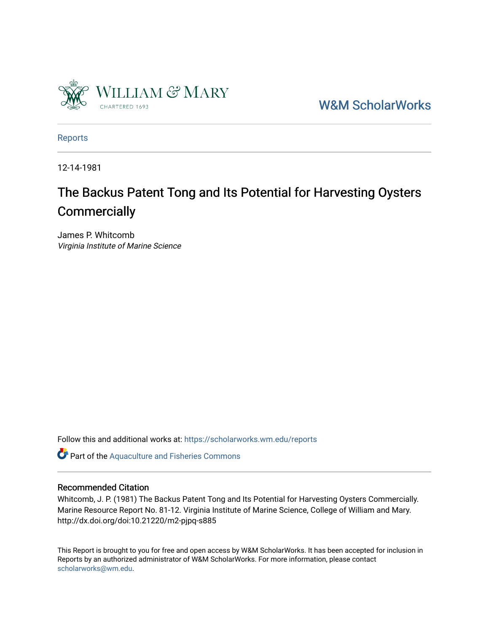

[W&M ScholarWorks](https://scholarworks.wm.edu/) 

[Reports](https://scholarworks.wm.edu/reports)

12-14-1981

## The Backus Patent Tong and Its Potential for Harvesting Oysters **Commercially**

James P. Whitcomb Virginia Institute of Marine Science

Follow this and additional works at: [https://scholarworks.wm.edu/reports](https://scholarworks.wm.edu/reports?utm_source=scholarworks.wm.edu%2Freports%2F1520&utm_medium=PDF&utm_campaign=PDFCoverPages)

Part of the [Aquaculture and Fisheries Commons](http://network.bepress.com/hgg/discipline/78?utm_source=scholarworks.wm.edu%2Freports%2F1520&utm_medium=PDF&utm_campaign=PDFCoverPages)

### Recommended Citation

Whitcomb, J. P. (1981) The Backus Patent Tong and Its Potential for Harvesting Oysters Commercially. Marine Resource Report No. 81-12. Virginia Institute of Marine Science, College of William and Mary. http://dx.doi.org/doi:10.21220/m2-pjpq-s885

This Report is brought to you for free and open access by W&M ScholarWorks. It has been accepted for inclusion in Reports by an authorized administrator of W&M ScholarWorks. For more information, please contact [scholarworks@wm.edu.](mailto:scholarworks@wm.edu)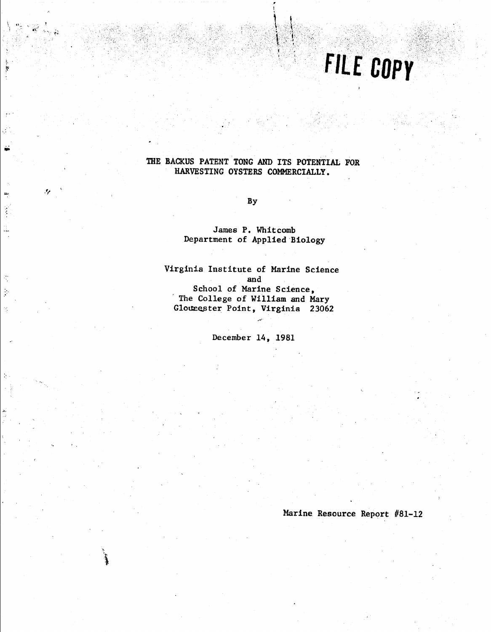# FILE COPY

### THE BACKUS PATENT TONG AND ITS POTENTIAL FOR HARVESTING OYSTERS COMMERCIALLY.

**By** 

4

 $\mathbb{R}^2$ 

James P. Whitcomb Department of Applied Biology

Virginia Institute of Marine Science and School of Marine Science, The College of William and Mary Glounester Point, Virginia 23062

December 14, 1981

Marine Resource Report #81-12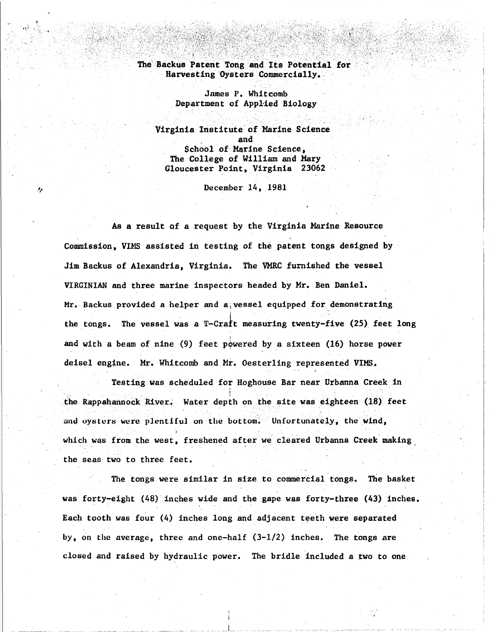#### The Backus Patent Tong and Its Potential for Harvesting Oysters Commercially.

James P. Whitcomb Department of Applied Biology

Virginia Institute of Marine Science . and School of Marine Science, The College of William and Mary Gloucester Point, Virginia 23062

December 14, 1981

**As a** result qf a request by the Virginia Marine Resource Commission, VIMS assisted in testing of the patent tongs designed by Jim Backus of Alexandria, Virginia. The VMRC furnished the vessel VIRGINIAN and three marine inspectors headed by Mr. Ben Daniel. Mr. Backus provided a helper and a vessel equipped for demonstrating the tongs. The vessel was a T-Craft measuring twenty-five (25) feet long and with a beam of nine (9) feet powered by a sixteen (16) horse power deisel engine. Mr. Whitcomb and Mr. Oesterling represented VIMS.

Testing was scheduled for Hoghouse Bar near Urbanna Creek in ' \ the Rappahannock River. Water depth on the site was eighteen (18) feet and oysters were plentiful on the bottom. Unfortunately, the wind, which was from the west, freshened after we cleared Urbanna Creek making the seas two to three feet.

The tongs were similar in size to commercial tongs. The basket was forty-eight (48) inches wide and the gape was forty-three (43) inches. Each tooth was four (4) inches long and adjacent teeth were separated by, on the average, three and one-half (3-1/2) inches. The tongs are closed and raised by hydraulic power. The bridle included a two to one

.. l ..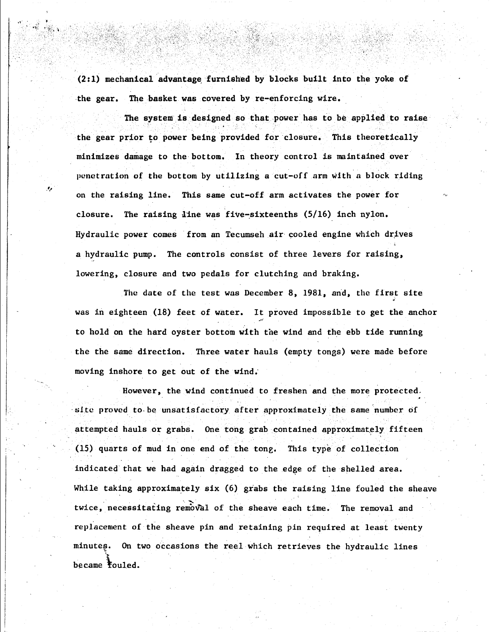(2: 1) mechanical advantage, furnished by blocks built into the yoke of the gear. The basket was covered by re-enforcing wire.

.,

The system is designed so that power has to be applied to raise the gear prior to power being provided for closure. This theoretically minimizes damage to the bottom. In theory control is maintained over penetration of the bottom by utilizing a cut-off arm with a block riding on the raising line. This same cut-off arm activates the power for closure. The raising line was five-sixteenths  $(5/16)$  inch nylon. Hydraulic power comes from an Tecumseh air cooled engine which drives a hydraulic pump. The controls consist of three levers for raising, lowering, closure and two pedals for clutching and braking.

The date of the test was December 8, 1981, and, the first site • was in eighteen (18) feet of water. It proved impossible to get the anchor to hold on the hard oyster bottom with the wind and the ebb tide running the the same direction. Three water hauls (empty tongs) were made before moving inshore to get out of the wind;

However, the wind continued to freshen and the more protected. · site proved to. be unsatisfactory after approximately the same number of attempted hauls or grabs. One tong grab contained approximately fifteen (15) quarts of mud in one end of the tong. This type of collection indicated that we had again dragged to the edge of the shelled area. While taking approximately six (6) grabs the raising line fouled the sheave twice, necessitating removal of the sheave each time. The removal and replacement of the sheave pin and retaining pin required at least twenty minutes. On two occasions the reel which retrieves the hydraulic lines became fouled.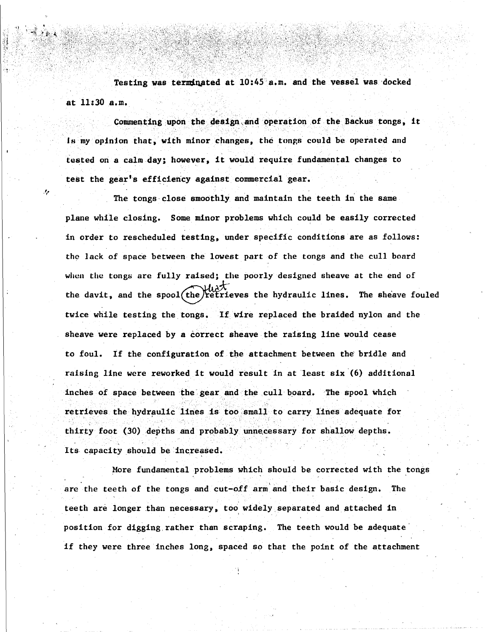Testing was terminated at 10:45 a.m. and the vessel was docked at 11:30 a.m.

. - . .

*.: ..* ·. ' '-' ·,'.

Commenting upon the design and operation of the Backus tongs, it is my opinion that, with minor changes, the tongs could be operated and tested ori a calm day; however, it would require fundamental changes to test the gear's efficiency against commercial gear.

The tongs-close smoothly and maintain the teeth in the same plane while closing. Some minor problems which could be easily corrected in order to rescheduled testing, under specific conditions are as follows: the lack of space between the lowest part of the tongs and the cull board when the tongs arc fully **raised;** the poorly designed sheave at the end of the davit, and the spool $({\rm the})$  retrieves the hydraulic lines. The sheave fouled twice while testing the tongs. If wire replaced the braided nylon and the sheave were replaced by a correct sheave the raising line would cease to foul. lf the configuration of the attachment between the bridle and raising line were reworked it would result in at least six (6) additional inches of space between the gear and the cull board. The spool which retrieves the hydraulic lines is too small to carry lines adequate for thirty foot (30) depths and probably unnecessary for shallow depths. Its capacity should be increased.

More fundamental problems which should be corrected with the tongs are the teeth of the tongs and cut-off arm'and their basic design. The teeth are longer than necessary, too widely separated and attached in position for digging rather than scraping. The teeth would be adequate' if they were three inches long, spaced so that the point of the attachment

·;